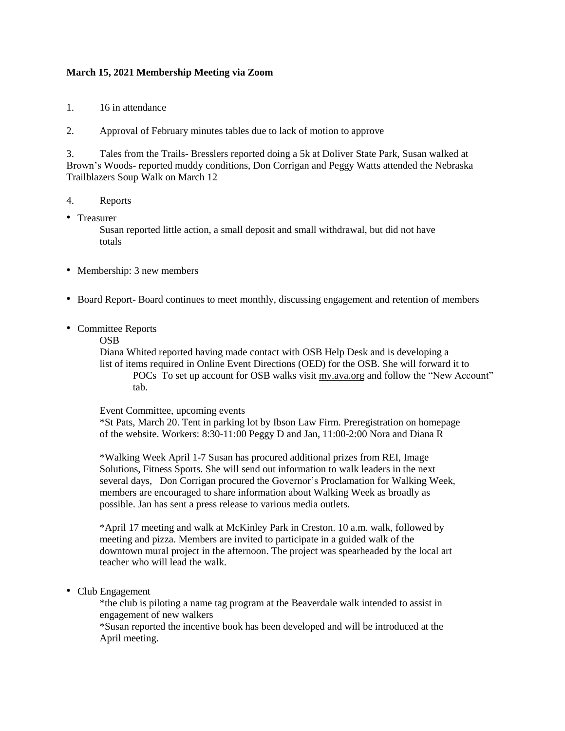## **March 15, 2021 Membership Meeting via Zoom**

1. 16 in attendance

2. Approval of February minutes tables due to lack of motion to approve

3. Tales from the Trails- Bresslers reported doing a 5k at Doliver State Park, Susan walked at Brown's Woods- reported muddy conditions, Don Corrigan and Peggy Watts attended the Nebraska Trailblazers Soup Walk on March 12

- 4. Reports
- Treasurer

Susan reported little action, a small deposit and small withdrawal, but did not have totals

- Membership: 3 new members
- Board Report- Board continues to meet monthly, discussing engagement and retention of members
- Committee Reports

## OSB

Diana Whited reported having made contact with OSB Help Desk and is developing a list of items required in Online Event Directions (OED) for the OSB. She will forward it to POCs To set up account for OSB walks visit [my.ava.org](http://my.ava.org/) and follow the "New Account" tab.

## Event Committee, upcoming events

\*St Pats, March 20. Tent in parking lot by Ibson Law Firm. Preregistration on homepage of the website. Workers: 8:30-11:00 Peggy D and Jan, 11:00-2:00 Nora and Diana R

\*Walking Week April 1-7 Susan has procured additional prizes from REI, Image Solutions, Fitness Sports. She will send out information to walk leaders in the next several days, Don Corrigan procured the Governor's Proclamation for Walking Week, members are encouraged to share information about Walking Week as broadly as possible. Jan has sent a press release to various media outlets.

\*April 17 meeting and walk at McKinley Park in Creston. 10 a.m. walk, followed by meeting and pizza. Members are invited to participate in a guided walk of the downtown mural project in the afternoon. The project was spearheaded by the local art teacher who will lead the walk.

• Club Engagement

\*the club is piloting a name tag program at the Beaverdale walk intended to assist in engagement of new walkers

\*Susan reported the incentive book has been developed and will be introduced at the April meeting.